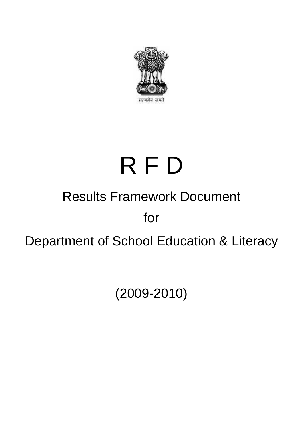

# Results Framework Document for R F D Department of School Education & Literacy

(2009-2010)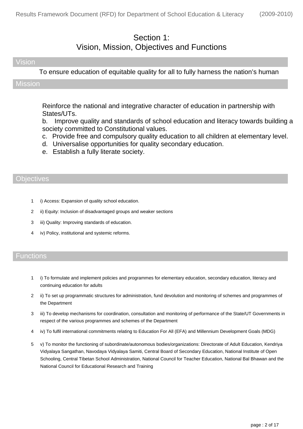#### Section 1: Vision, Mission, Objectives and Functions

#### Vision

To ensure education of equitable quality for all to fully harness the nation's human

#### **Mission**

Reinforce the national and integrative character of education in partnership with States/UTs.

b. Improve quality and standards of school education and literacy towards building a society committed to Constitutional values.

- c. Provide free and compulsory quality education to all children at elementary level.
- d. Universalise opportunities for quality secondary education.
- e. Establish a fully literate society.

#### **Objectives**

- 1 i) Access: Expansion of quality school education.
- 2 ii) Equity: Inclusion of disadvantaged groups and weaker sections
- 3 iii) Quality: Improving standards of education.
- 4 iv) Policy, institutional and systemic reforms.

#### **Functions**

- i) To formulate and implement policies and programmes for elementary education, secondary education, literacy and continuing education for adults 1
- ii) To set up programmatic structures for administration, fund devolution and monitoring of schemes and programmes of the Department  $\overline{2}$
- iii) To develop mechanisms for coordination, consultation and monitoring of performance of the State/UT Governments in respect of the various programmes and schemes of the Department 3
- 4 iv) To fulfil international commitments relating to Education For All (EFA) and Millennium Development Goals (MDG)
- v) To monitor the functioning of subordinate/autonomous bodies/organizations: Directorate of Adult Education, Kendriya Vidyalaya Sangathan, Navodaya Vidyalaya Samiti, Central Board of Secondary Education, National Institute of Open Schooling, Central Tibetan School Administration, National Council for Teacher Education, National Bal Bhawan and the National Council for Educational Research and Training 5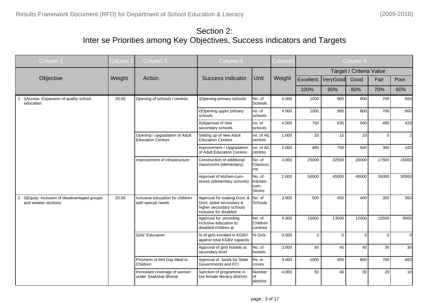| Column 1                                                               | Column <sub>2</sub> | Column 3                                                   | Column 4                                                                                                     |                                             | Column5 |                         |             | Column 6 |          |                |  |  |  |  |
|------------------------------------------------------------------------|---------------------|------------------------------------------------------------|--------------------------------------------------------------------------------------------------------------|---------------------------------------------|---------|-------------------------|-------------|----------|----------|----------------|--|--|--|--|
|                                                                        |                     |                                                            |                                                                                                              |                                             |         | Target / Criteria Value |             |          |          |                |  |  |  |  |
| Objective                                                              | Weight              | Action                                                     | <b>Success Indicator</b>                                                                                     | Unit                                        | Weight  | Excellent               | VeryGood    | Good     | Fair     | Poor           |  |  |  |  |
|                                                                        |                     |                                                            |                                                                                                              |                                             |         | 100%                    | 90%         | 80%      | 70%      | 60%            |  |  |  |  |
| i) Access: Expansion of quality school<br>education.                   | 20.00               | Opening of schools / centres.                              | i) Opening primary schools                                                                                   | No. of<br>Schools                           | 4.000   | 1000                    | 900         | 800      | 700      | 600            |  |  |  |  |
|                                                                        |                     |                                                            | ii) Opening upper primary<br>schools                                                                         | no. of<br>schools                           | 4.000   | 1000                    | 900         | 800      | 700      | 600            |  |  |  |  |
|                                                                        |                     |                                                            | iii) Approval of new<br>secondary schools.                                                                   | no. of<br>schools                           | 4.000   | 700                     | 630         | 560      | 490      | 420            |  |  |  |  |
|                                                                        |                     | Opening / upgradation of Adult<br><b>Education Centres</b> | Setting up of new Adult<br><b>Education Centres</b>                                                          | no. of AE<br>centres                        | 1.000   | 20                      | 15          | 10       | 5        | $\overline{2}$ |  |  |  |  |
|                                                                        |                     |                                                            | Improvement / Upgradation<br>of Adult Education Centres                                                      | no. of AE<br>centres                        | 2.000   | 980                     | 700         | 500      | 300      | 100            |  |  |  |  |
|                                                                        |                     | Improvement of infrastructure                              | Construction of additional<br>classrooms (elementary)                                                        | No. of<br>Classroo<br>ms                    | 3.000   | 25000                   | 22500       | 20000    | 17500    | 15000          |  |  |  |  |
|                                                                        |                     |                                                            | Approval of kitchen-cum-<br>stores (elementary schools).                                                     | No. of<br>Kitchen-<br>cum-<br><b>Stores</b> | 2.000   | 50000                   | 45000       | 40000    | 35000    | 30000          |  |  |  |  |
| 2 ii) Equity: Inclusion of disadvantaged groups<br>and weaker sections | 20.00               | Inclusive education for children<br>with special needs     | Approval for making Govt. &<br>Govt. aided secondary &<br>higher secondary schools<br>inclusive for disabled | No. of<br>Schools                           | 3.000   | 500                     | 450         | 400      | 350      | 300            |  |  |  |  |
|                                                                        |                     |                                                            | Approval for providing<br>inclusive education to<br>disabled children at                                     | No. of<br>Children<br>covered               | 4.000   | 15000                   | 13500       | 12000    | 10500    | 9000           |  |  |  |  |
|                                                                        |                     | Girls' Education                                           | % of girls enrolled in KGBV<br>against total KGBV capacity                                                   | % Girls                                     | 0.000   | $\Omega$                | $\mathbf 0$ | $\Omega$ | $\Omega$ | $\Omega$       |  |  |  |  |
|                                                                        |                     |                                                            | Approval of girls hostels at<br>secondary level                                                              | No. of<br>hostels                           | 3.000   | 50                      | 45          | 40       | 35       | 30             |  |  |  |  |
|                                                                        |                     | Provision of Mid Day Meal to<br>Children                   | Approval of funds for State<br>Governments and FCI                                                           | Rs. in<br>crores                            | 3.000   | 1000                    | 900         | 800      | 700      | 600            |  |  |  |  |
|                                                                        |                     | Increased coverage of women<br>under Saakshar Bharat       | Sanction of programme in<br>low female literacy districts                                                    | Number<br>of<br>districts                   | 4.000   | 50                      | 40          | 30       | 20       | 10             |  |  |  |  |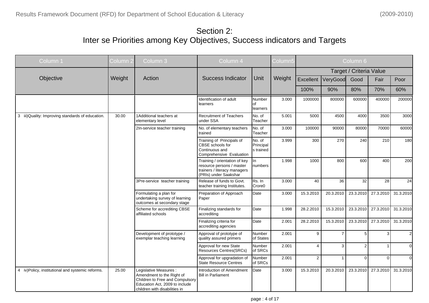| Column 1                                          | Column 2 | Column 3                                                                                                                                                  | Column 4                                                                                                            |                                  | Column5 |                |                | Column 6                |           |                |  |  |  |  |
|---------------------------------------------------|----------|-----------------------------------------------------------------------------------------------------------------------------------------------------------|---------------------------------------------------------------------------------------------------------------------|----------------------------------|---------|----------------|----------------|-------------------------|-----------|----------------|--|--|--|--|
|                                                   |          |                                                                                                                                                           |                                                                                                                     |                                  |         |                |                | Target / Criteria Value |           |                |  |  |  |  |
| Objective                                         | Weight   | Action                                                                                                                                                    | <b>Success Indicator</b>                                                                                            | Unit                             | Weight  | Excellent      | VeryGood       | Good                    | Fair      | Poor           |  |  |  |  |
|                                                   |          |                                                                                                                                                           |                                                                                                                     |                                  |         | 100%           | 90%            | 80%                     | 70%       | 60%            |  |  |  |  |
|                                                   |          |                                                                                                                                                           | Identification of adult<br>learners                                                                                 | Number<br>оf<br>learners         | 3.000   | 1000000        | 800000         | 600000                  | 400000    | 200000         |  |  |  |  |
| 3 iii) Quality: Improving standards of education. | 30.00    | 1 Additional teachers at<br>elementary level                                                                                                              | <b>Recruitment of Teachers</b><br>under SSA                                                                         | No. of<br>Teacher                | 5.001   | 5000           | 4500           | 4000                    | 3500      | 3000           |  |  |  |  |
|                                                   |          | 2 In-service teacher training                                                                                                                             | No. of elementary teachers<br>trained                                                                               | No. of<br>Teacher                | 3.000   | 100000         | 90000          | 80000                   | 70000     | 60000          |  |  |  |  |
|                                                   |          |                                                                                                                                                           | Training of Principals of<br>CBSE schools for<br>Continuous and<br>Comprehensive Evaluation                         | No. of<br>Principal<br>s trained | 3.999   | 300            | 270            | 240                     | 210       | 180            |  |  |  |  |
|                                                   |          |                                                                                                                                                           | Training / orientation of key<br>resource persons / master<br>trainers / literacy managers<br>(PRIs) under Saakshar | ln.<br>numbers                   | 1.998   | 1000           | 800            | 600                     | 400       | 200            |  |  |  |  |
|                                                   |          | 3 Pre-service teacher training                                                                                                                            | Release of funds to Govt.<br>teacher training Institutes.                                                           | Rs. In<br>Crore <sub>0</sub>     | 3.000   | 40             | 36             | 32                      | 28        | 24             |  |  |  |  |
|                                                   |          | Formulating a plan for<br>undertaking survey of learning<br>outcomes at secondary stage                                                                   | Preparation of Approach<br>Paper                                                                                    | Date                             | 3.000   | 15.3.2010      | 20.3.2010      | 23.3.2010               | 27.3.2010 | 31.3.2010      |  |  |  |  |
|                                                   |          | Scheme for accrediting CBSE<br>affiliated schools                                                                                                         | Finalizing standards for<br>accrediting                                                                             | Date                             | 1.998   | 28.2.2010      | 15.3.2010      | 23.3.2010               | 27.3.2010 | 31.3.2010      |  |  |  |  |
|                                                   |          |                                                                                                                                                           | Finalizing criteria for<br>accrediting agencies                                                                     | Date                             | 2.001   | 28.2.2010      | 15.3.2010      | 23.3.2010               | 27.3.2010 | 31.3.2010      |  |  |  |  |
|                                                   |          | Development of prototype /<br>exemplar teaching learning                                                                                                  | Approval of prototype of<br>quality assured primers                                                                 | Number<br>of States              | 2.001   | 9              | $\overline{7}$ | $5^{\circ}$             | 3         | $\overline{2}$ |  |  |  |  |
|                                                   |          |                                                                                                                                                           | Approval for new State<br>Resources Centres(SRCs)                                                                   | Number<br>of SRCs                | 2.001   | 4              | 3              | $\overline{2}$          | 1         | $\Omega$       |  |  |  |  |
|                                                   |          |                                                                                                                                                           | Approval for upgradation of<br><b>State Resource Centres</b>                                                        | Number<br>of SRCs                | 2.001   | $\overline{2}$ | 1              | $\Omega$                | $\Omega$  | $\Omega$       |  |  |  |  |
| 4 iv) Policy, institutional and systemic reforms. | 25.00    | Legislative Measures :<br>Amendment to the Right of<br>Children to Free and Compulsory<br>Education Act, 2009 to include<br>children with disabilities in | Introduction of Amendment<br><b>Bill in Parliament</b>                                                              | Date                             | 3.000   | 15.3.2010      | 20.3.2010      | 23.3.2010               | 27.3.2010 | 31.3.2010      |  |  |  |  |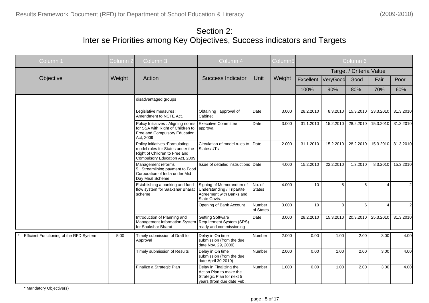| Column 1                                | Column 2 | Column 3                                                                                                                                | Column 4                                                                                                     |                         | Column5 |                         |           | Column 6  |                       |                |  |  |  |
|-----------------------------------------|----------|-----------------------------------------------------------------------------------------------------------------------------------------|--------------------------------------------------------------------------------------------------------------|-------------------------|---------|-------------------------|-----------|-----------|-----------------------|----------------|--|--|--|
|                                         |          |                                                                                                                                         |                                                                                                              |                         |         | Target / Criteria Value |           |           |                       |                |  |  |  |
| Objective                               | Weight   | Action                                                                                                                                  | <b>Success Indicator</b>                                                                                     | Unit                    | Weight  | Excellent               | VeryGood  | Good      | Fair                  | Poor           |  |  |  |
|                                         |          |                                                                                                                                         |                                                                                                              |                         |         | 100%                    | 90%       | 80%       | 70%                   | 60%            |  |  |  |
|                                         |          | disadvantaged groups                                                                                                                    |                                                                                                              |                         |         |                         |           |           |                       |                |  |  |  |
|                                         |          | Legislative measures :<br>Amendment to NCTE Act.                                                                                        | Obtaining approval of<br>Cabinet                                                                             | Date                    | 3.000   | 28.2.2010               | 8.3.2010  | 15.3.2010 | 23.3.2010             | 31.3.2010      |  |  |  |
|                                         |          | Policy Initiatives : Aligning norms<br>for SSA with Right of Children to<br>Free and Compulsory Education<br>Act, 2009                  | <b>Executive Committee</b><br>approval                                                                       | Date                    | 3.000   | 31.1.2010               | 15.2.2010 | 28.2.2010 | 15.3.2010             | 31.3.2010      |  |  |  |
|                                         |          | Policy initiatives : Formulating<br>model rules for States under the<br>Right of Children to Free and<br>Compulsory Education Act, 2009 | Circulation of model rules to Date<br>States/UTs                                                             |                         | 2.000   | 31.1.2010               | 15.2.2010 | 28.2.2010 | 15.3.2010             | 31.3.2010      |  |  |  |
|                                         |          | Management reforms<br>5. Streamlining payment to Food<br>Corporation of India under Mid<br>Day Meal Scheme                              | Issue of detailed instructions Date                                                                          |                         | 4.000   | 15.2.2010               | 22.2.2010 | 1.3.2010  | 8.3.2010              | 15.3.2010      |  |  |  |
|                                         |          | Establishing a banking and fund<br>flow system for Saakshar Bharat<br>scheme                                                            | Signing of Memorandum of<br>Understanding / Tripartite<br>Agreement with Banks and<br>State Govts.           | No. of<br><b>States</b> | 4.000   | 10                      | 8         | 6         | 4                     | $\mathcal{P}$  |  |  |  |
|                                         |          |                                                                                                                                         | Opening of Bank Account                                                                                      | Number<br>of States     | 3.000   | 10                      | 8         | 6         | $\boldsymbol{\Delta}$ | $\overline{2}$ |  |  |  |
|                                         |          | Introduction of Planning and<br>Management Information System<br>for Saakshar Bharat                                                    | <b>Getting Software</b><br>Requirement System (SRS)<br>ready and commissioning                               | Date                    | 3.000   | 28.2.2010               | 15.3.2010 | 20.3.2010 | 25.3.2010             | 31.3.2010      |  |  |  |
| Efficient Functioning of the RFD System | 5.00     | Timely submission of Draft for<br>Approval                                                                                              | Delay in On time<br>submission (from the due<br>date Nov. 29, 2009)                                          | Number                  | 2.000   | 0.00                    | 1.00      | 2.00      | 3.00                  | 4.00           |  |  |  |
|                                         |          | Timely submission of Results                                                                                                            | Delay in On time<br>submission (from the due<br>date April 30 2010)                                          | Number                  | 2.000   | 0.00                    | 1.00      | 2.00      | 3.00                  | 4.00           |  |  |  |
|                                         |          | Finalize a Strategic Plan                                                                                                               | Delay in Finalizing the<br>Action Plan to make the<br>Strategic Plan for next 5<br>years (from due date Feb. | Number                  | 1.000   | 0.00                    | 1.00      | 2.00      | 3.00                  | 4.00           |  |  |  |

\* Mandatory Objective(s)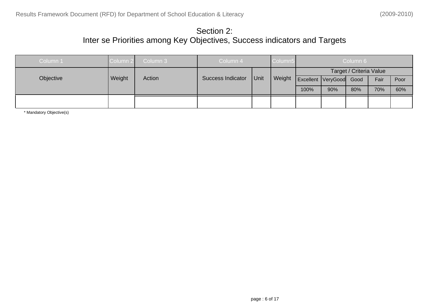| Column 1  | Column 2 | Column 3 | Column 4<br>Column <sub>5</sub> |      | Column 6 |                         |                         |     |      |      |  |
|-----------|----------|----------|---------------------------------|------|----------|-------------------------|-------------------------|-----|------|------|--|
|           |          |          |                                 |      |          | Target / Criteria Value |                         |     |      |      |  |
| Objective | Weight   | Action   | Success Indicator               | Unit | Weight   |                         | Excellent VeryGood Good |     | Fair | Poor |  |
|           |          |          |                                 | 100% | 90%      | 80%                     | 70%                     | 60% |      |      |  |
|           |          |          |                                 |      |          |                         |                         |     |      |      |  |

\* Mandatory Objective(s)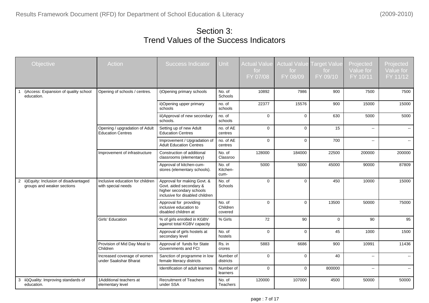# Section 3: Trend Values of the Success Indicators

| Objective                                                              | Action                                                     | <b>Success Indicator</b>                                                                                              | Unit                          | <b>Actual Value</b><br>for<br>FY 07/08 | <b>Actual Value</b><br>for<br>FY 08/09 | <b>Target Value</b><br>for<br>FY 09/10 | Projected<br>Value for<br>FY 10/11 | Projected<br>Value for<br>FY 11/12 |
|------------------------------------------------------------------------|------------------------------------------------------------|-----------------------------------------------------------------------------------------------------------------------|-------------------------------|----------------------------------------|----------------------------------------|----------------------------------------|------------------------------------|------------------------------------|
| i) Access: Expansion of quality school<br>education.                   | Opening of schools / centres.                              | i) Opening primary schools                                                                                            | No. of<br>Schools             | 10892                                  | 7986                                   | 900                                    | 7500                               | 7500                               |
|                                                                        |                                                            | ii) Opening upper primary<br>schools                                                                                  | no. of<br>schools             | 22377                                  | 15576                                  | 900                                    | 15000                              | 15000                              |
|                                                                        |                                                            | iii) Approval of new secondary<br>schools.                                                                            | no. of<br>schools             | $\Omega$                               | $\mathbf 0$                            | 630                                    | 5000                               | 5000                               |
|                                                                        | Opening / upgradation of Adult<br><b>Education Centres</b> | Setting up of new Adult<br><b>Education Centres</b>                                                                   | no. of AE<br>centres          | $\Omega$                               | $\Omega$                               | 15                                     | $\overline{\phantom{a}}$           | $\mathbf{u}$                       |
|                                                                        |                                                            | Improvement / Upgradation of<br><b>Adult Education Centres</b>                                                        | no. of AE<br>centres          | $\Omega$                               | $\Omega$                               | 700                                    | Ξ.                                 | $\overline{\phantom{a}}$           |
|                                                                        | Improvement of infrastructure                              | Construction of additional<br>classrooms (elementary)                                                                 | No. of<br>Classroo            | 128000                                 | 184000                                 | 22500                                  | 200000                             | 200000                             |
|                                                                        |                                                            | Approval of kitchen-cum-<br>stores (elementary schools).                                                              | No. of<br>Kitchen-<br>cum-    | 5000                                   | 5000                                   | 45000                                  | 90000                              | 87809                              |
| 2 ii) Equity: Inclusion of disadvantaged<br>groups and weaker sections | Inclusive education for children<br>with special needs     | Approval for making Govt. &<br>Govt. aided secondary &<br>higher secondary schools<br>inclusive for disabled children | No. of<br>Schools             | $\Omega$                               | $\Omega$                               | 450                                    | 10000                              | 15000                              |
|                                                                        |                                                            | Approval for providing<br>inclusive education to<br>disabled children at                                              | No. of<br>Children<br>covered | $\Omega$                               | $\Omega$                               | 13500                                  | 50000                              | 75000                              |
|                                                                        | Girls' Education                                           | % of girls enrolled in KGBV<br>against total KGBV capacity                                                            | % Girls                       | 72                                     | 90                                     | $\Omega$                               | 90                                 | 95                                 |
|                                                                        |                                                            | Approval of girls hostels at<br>secondary level                                                                       | No. of<br>hostels             | $\Omega$                               | $\Omega$                               | 45                                     | 1000                               | 1500                               |
|                                                                        | Provision of Mid Day Meal to<br>Children                   | Approval of funds for State<br>Governments and FCI                                                                    | Rs. in<br>crores              | 5883                                   | 6686                                   | 900                                    | 10991                              | 11436                              |
|                                                                        | Increased coverage of women<br>under Saakshar Bharat       | Sanction of programme in low<br>female literacy districts                                                             | Number of<br>districts        | $\mathbf 0$                            | $\Omega$                               | 40                                     | $\frac{1}{2}$                      | $\sim$                             |
|                                                                        |                                                            | Identification of adult learners                                                                                      | Number of<br>learners         | $\mathbf 0$                            | 0                                      | 800000                                 | $\frac{1}{2}$                      | $\overline{\phantom{a}}$           |
| 3 iii) Quality: Improving standards of<br>education.                   | 1 Additional teachers at<br>elementary level               | <b>Recruitment of Teachers</b><br>under SSA                                                                           | No. of<br><b>Teachers</b>     | 120000                                 | 107000                                 | 4500                                   | 50000                              | 50000                              |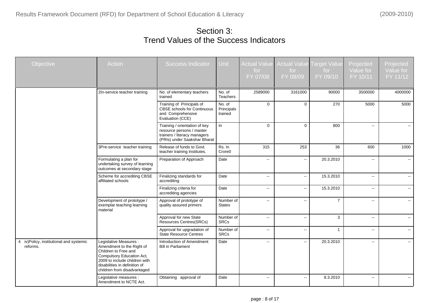# Section 3: Trend Values of the Success Indicators

| Objective                                            | Action                                                                                                                                                                                                    | <b>Success Indicator</b>                                                                                                   | Unit                            | for<br>FY 07/08          | Actual Value   Actual Value Target Value<br>for<br>FY 08/09 | for<br>FY 09/10 | Projected<br>Value for<br>FY 10/11 | Projected<br>Value for<br>FY 11/12 |
|------------------------------------------------------|-----------------------------------------------------------------------------------------------------------------------------------------------------------------------------------------------------------|----------------------------------------------------------------------------------------------------------------------------|---------------------------------|--------------------------|-------------------------------------------------------------|-----------------|------------------------------------|------------------------------------|
|                                                      | 2 In-service teacher training                                                                                                                                                                             | No. of elementary teachers<br>trained                                                                                      | No. of<br><b>Teachers</b>       | 2589000                  | 3161000                                                     | 90000           | 3500000                            | 4000000                            |
|                                                      |                                                                                                                                                                                                           | Training of Principals of<br>CBSE schools for Continuous<br>and Comprehensive<br>Evaluation (CCE)                          | No. of<br>Principals<br>trained | $\Omega$                 | $\Omega$                                                    | 270             | 5000                               | 5000                               |
|                                                      |                                                                                                                                                                                                           | Training / orientation of key<br>resource persons / master<br>trainers / literacy managers<br>(PRIs) under Saakshar Bharat | In                              | $\Omega$                 | $\Omega$                                                    | 800             | $\mathbf{u}$                       | $\sim$                             |
|                                                      | 3 Pre-service teacher training                                                                                                                                                                            | Release of funds to Govt.<br>teacher training Institutes.                                                                  | Rs. In<br>Crore <sub>0</sub>    | 315                      | 253                                                         | 36              | 600                                | 1000                               |
|                                                      | Formulating a plan for<br>undertaking survey of learning<br>outcomes at secondary stage                                                                                                                   | Preparation of Approach                                                                                                    | Date                            | $\sim$                   | $\ddotsc$                                                   | 20.3.2010       | $\mathbf{u}$                       | $\mathcal{L}(\mathcal{L})$         |
|                                                      | Scheme for accrediting CBSE<br>affiliated schools                                                                                                                                                         | Finalizing standards for<br>accrediting                                                                                    | Date                            | $\overline{\phantom{a}}$ | $\ddotsc$                                                   | 15.3.2010       | $\overline{\phantom{a}}$           | $\sim$                             |
|                                                      |                                                                                                                                                                                                           | Finalizing criteria for<br>accrediting agencies                                                                            | Date                            | $\overline{\phantom{a}}$ | $\ddotsc$                                                   | 15.3.2010       | $\overline{a}$                     | $\sim$                             |
|                                                      | Development of prototype /<br>exemplar teaching learning<br>material                                                                                                                                      | Approval of prototype of<br>quality assured primers                                                                        | Number of<br><b>States</b>      | $\overline{\phantom{a}}$ | --                                                          | $\overline{7}$  | $\overline{\phantom{a}}$           | $\sim$                             |
|                                                      |                                                                                                                                                                                                           | Approval for new State<br>Resources Centres(SRCs)                                                                          | Number of<br><b>SRCs</b>        | $\sim$                   | $\ddotsc$                                                   | 3               | $\overline{a}$                     | $\sim$                             |
|                                                      |                                                                                                                                                                                                           | Approval for upgradation of<br>State Resource Centres                                                                      | Number of<br><b>SRCs</b>        | $\mathbf{L}$             | $\overline{\phantom{a}}$                                    | $\mathbf{1}$    | н.                                 | $\mathbf{u}$                       |
| 4 iv) Policy, institutional and systemic<br>reforms. | Legislative Measures :<br>Amendment to the Right of<br>Children to Free and<br>Compulsory Education Act,<br>2009 to include children with<br>disabilities in definition of<br>children from disadvantaged | Introduction of Amendment<br><b>Bill in Parliament</b>                                                                     | Date                            | $\mathbf{u}$             | $\mathbb{L}^{\mathbb{L}}$                                   | 20.3.2010       | $\overline{a}$                     | $\mathbf{u}$                       |
|                                                      | Legislative measures :<br>Amendment to NCTE Act.                                                                                                                                                          | Obtaining approval of                                                                                                      | Date                            | $\overline{\phantom{a}}$ | $\mathord{\hspace{1pt}\text{--}\hspace{1pt}}$               | 8.3.2010        | $\sim$ $\sim$                      | $\sim$                             |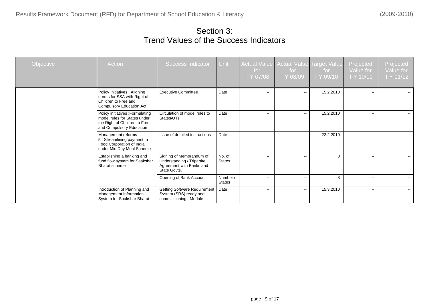# Section 3: Trend Values of the Success Indicators

| <b>Objective</b> | Action                                                                                                                       | <b>Success Indicator</b>                                                                           | <b>Unit</b>             | <b>Actual Value</b><br>for<br>FY 07/08 | Actual Value Target Value<br>for<br>FY 08/09 | for<br>FY 09/10 | Projected<br>Value for<br>FY 10/11 | Projected<br>Value for<br>FY 11/12 |
|------------------|------------------------------------------------------------------------------------------------------------------------------|----------------------------------------------------------------------------------------------------|-------------------------|----------------------------------------|----------------------------------------------|-----------------|------------------------------------|------------------------------------|
|                  | Policy Initiatives: Aligning<br>norms for SSA with Right of<br>Children to Free and<br>Compulsory Education Act,             | <b>Executive Committee</b>                                                                         | Date                    | $\sim$ $\sim$                          | $\overline{\phantom{a}}$                     | 15.2.2010       | $\sim$                             | --                                 |
|                  | Policy initiatives :Formulating<br>model rules for States under<br>the Right of Children to Free<br>and Compulsory Education | Circulation of model rules to<br>States/UTs                                                        | Date                    | $\sim$ $\sim$                          | $\sim$                                       | 15.2.2010       | $\sim$                             | $\sim$ $\sim$                      |
|                  | Management reforms<br>5. Streamlining payment to<br>Food Corporation of India<br>under Mid Day Meal Scheme                   | Issue of detailed instructions                                                                     | Date                    | $\sim$ $\sim$                          | $\sim$ $\sim$                                | 22.2.2010       | $\sim$ $\sim$                      | $- -$ .                            |
|                  | Establishing a banking and<br>fund flow system for Saakshar<br><b>Bharat scheme</b>                                          | Signing of Memorandum of<br>Understanding / Tripartite<br>Agreement with Banks and<br>State Govts. | No. of<br><b>States</b> | $- -$                                  | $\mathbf{u}$                                 | 8               | $\sim$                             | $\sim$ $\sim$                      |
|                  |                                                                                                                              | Opening of Bank Account                                                                            | Number of<br>States     | $\mathbf{u}$                           | $\mathbf{u}$                                 | 8               | $\sim$ $\sim$                      | $- -$ .                            |
|                  | Introduction of Planning and<br>Management Information<br>System for Saakshar Bharat                                         | <b>Getting Software Requirement</b><br>System (SRS) ready and<br>commissioning Module-I            | Date                    | $\mathbf{u}$                           | $\sim$                                       | 15.3.2010       | $\sim$ $\sim$                      | $\sim$ $\sim$                      |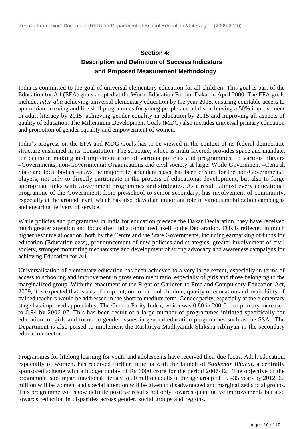#### **Section 4: Description and Definition of Success Indicators and Proposed Measurement Methodology**

India is committed to the goal of universal elementary education for all children. This goal is part of the Education for All (EFA) goals adopted at the World Education Forum, Dakar in April 2000. The EFA goals include, *inter alia* achieving universal elementary education by the year 2015, ensuring equitable access to appropriate learning and life skill programmes for young people and adults, achieving a 50% improvement in adult literacy by 2015, achieving gender equality in education by 2015 and improving all aspects of quality of education. The Millennium Development Goals (MDG) also includes universal primary education and promotion of gender equality and empowerment of women.

India's progress on the EFA and MDG Goals has to be viewed in the context of its federal democratic structure enshrined in its Constitution. The structure, which is multi layered, provides space and mandate, for decision making and implementation of various policies and programmes, to various players –Governments, non-Governmental Organizations and civil society at large. While Government –Central, State and local bodies –plays the major role, abundant space has been created for the non-Governmental players, not only to directly participate in the process of educational development, but also to forge appropriate links with Government programmes and strategies. As a result, almost every educational programme of the Government, from pre-school to senior secondary, has involvement of community, especially at the ground level, which has also played an important role in various mobilization campaigns and ensuring delivery of service.

While policies and programmes in India for education precede the Dakar Declaration, they have received much greater attention and focus after India committed itself to the Declaration. This is reflected in much higher resource allocation, both by the Centre and the State Governments, including earmarking of funds for education (Education cess), pronouncement of new policies and strategies, greater involvement of civil society, stronger monitoring mechanisms and development of strong advocacy and awareness campaigns for achieving Education for All.

Universalisation of elementary education has been achieved to a very large extent, especially in terms of access to schooling and improvement in gross enrolment ratio, especially of girls and those belonging to the marginalized group. With the enactment of the Right of Children to Free and Compulsory Education Act, 2009, it is expected that issues of drop out, out-of-school children, quality of education and availability of trained teachers would be addressed in the short to medium term. Gender parity, especially at the elementary stage has improved appreciably. The Gender Parity Index, which was 0.80 in 200-01 for primary increased to 0.94 by 2006-07. This has been result of a large number of programmes initiated specifically for education for girls and focus on gender issues in general education programmes such as the SSA. The Department is also poised to implement the Rashtriya Madhyamik Shiksha Abhiyan in the secondary education sector.

Programmes for lifelong learning for youth and adolescents have received their due focus. Adult education, especially of women, has received further impetus with the launch of *Saakshar Bharat*, a centrally sponsored scheme with a budget outlay of Rs 6000 crore for the period 2007-12. The objective of the programme is to impart functional literacy to 70 million adults in the age group of 15 –35 years by 2012; 60 million will be women, and special attention will be given to disadvantaged and marginalized social groups. This programme will show definite positive results not only towards quantitative improvements but also towards reduction in disparities across gender, social groups and regions.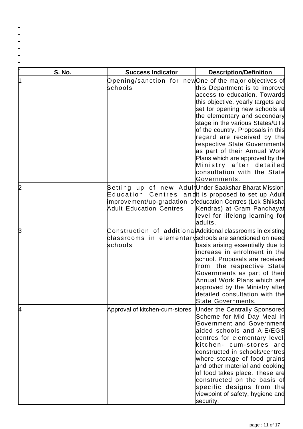| S. No. | <b>Success Indicator</b>       | <b>Description/Definition</b>                                                                                                                                                                                                                                                                                                                                                                                                                                                                                      |
|--------|--------------------------------|--------------------------------------------------------------------------------------------------------------------------------------------------------------------------------------------------------------------------------------------------------------------------------------------------------------------------------------------------------------------------------------------------------------------------------------------------------------------------------------------------------------------|
|        | schools                        | Opening/sanction for newOne of the major objectives of<br>this Department is to improve<br>access to education. Towards<br>this objective, yearly targets are<br>set for opening new schools at<br>the elementary and secondary<br>stage in the various States/UTs<br>of the country. Proposals in this<br>regard are received by the<br>respective State Governments<br>as part of their Annual Work<br>Plans which are approved by the<br>Ministry after detailed<br>consultation with the State<br>Governments. |
| 12     | <b>Adult Education Centres</b> | Setting up of new AdultUnderSaaksharBharatMission<br>Education Centres and it is proposed to set up Adult<br>improvement/up-gradation ofeducation Centres (Lok Shiksha<br>Kendras) at Gram Panchayat<br>level for lifelong learning for<br>adults.                                                                                                                                                                                                                                                                 |
| β      | schools                        | Construction of additionalAdditional classrooms in existing<br>classrooms in elementaryschools are sanctioned on need<br>basis arising essentially due to<br>increase in enrolment in the<br>school. Proposals are received<br>from the respective State<br>Governments as part of their<br>Annual Work Plans which are<br>approved by the Ministry after<br>detailed consultation with the<br>State Governments.                                                                                                  |
| 14     | Approval of kitchen-cum-stores | Under the Centrally Sponsored<br>Scheme for Mid Day Meal in<br>Government and Government<br>aided schools and AIE/EGS<br>centres for elementary level<br>kitchen- cum-stores are<br>constructed in schools/centres<br>where storage of food grains<br>and other material and cooking<br>of food takes place. These are<br>constructed on the basis of<br>specific designs from the<br>viewpoint of safety, hygiene and<br>security.                                                                                |

 $\ddot{\phantom{1}}$  $\overline{a}$  $\blacksquare$  $\mathbb{L}$  $\left\langle -\right\rangle$  $\bar{\phantom{a}}$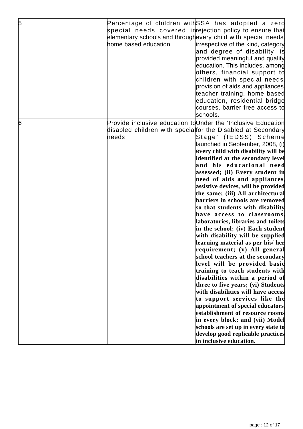| 5 | home based education | Percentage of children withSSA has adopted a zero<br>special needs covered inrejection policy to ensure that<br>elementary schools and throughevery child with special needs.<br><b>irrespective of the kind, category</b><br>and degree of disability, is<br>provided meaningful and quality<br>education. This includes, among<br>bthers, financial support to<br>children with special needs!<br>provision of aids and appliances.<br>teacher training, home based<br>education, residential bridge<br>courses, barrier free access to<br>schools.                                                                                                                                                                                                                                                                                                                                                                                                                                                                                                                                                                                                                                                                    |
|---|----------------------|--------------------------------------------------------------------------------------------------------------------------------------------------------------------------------------------------------------------------------------------------------------------------------------------------------------------------------------------------------------------------------------------------------------------------------------------------------------------------------------------------------------------------------------------------------------------------------------------------------------------------------------------------------------------------------------------------------------------------------------------------------------------------------------------------------------------------------------------------------------------------------------------------------------------------------------------------------------------------------------------------------------------------------------------------------------------------------------------------------------------------------------------------------------------------------------------------------------------------|
| 6 | heeds                | Provide inclusive education to Under the 'Inclusive Education<br>disabled children with specialfor the Disabled at Secondary<br>Stage' (IEDSS) Scheme<br>launched in September, 2008, (i)<br>every child with disability will be<br>identified at the secondary level<br>and his educational need<br>assessed; (ii) Every student in<br>need of aids and appliances,<br>assistive devices, will be provided<br>the same; (iii) All architectural<br><b>barriers in schools are removed</b><br>so that students with disability<br>have access to classrooms.<br>laboratories, libraries and toilets<br>in the school; (iv) Each student<br>with disability will be supplied<br>learning material as per his/her<br>requirement; (v) All general<br>school teachers at the secondary<br>level will be provided basic<br>training to teach students with<br>disabilities within a period of<br>three to five years; (vi) Students<br>with disabilities will have access<br>to support services like the<br>appointment of special educators.<br>establishment of resource rooms<br>in every block; and (vii) Model<br>schools are set up in every state to<br>develop good replicable practices<br>in inclusive education. |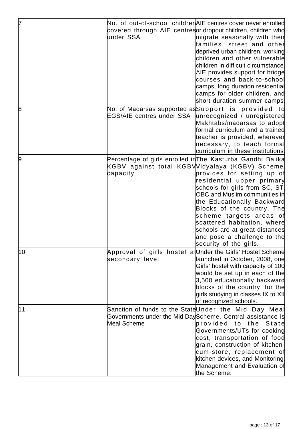| 17 |                                                | No. of out-of-school children AIE centres cover never enrolled<br>covered through AIE centresor dropout children, children who |
|----|------------------------------------------------|--------------------------------------------------------------------------------------------------------------------------------|
|    | under SSA                                      | migrate seasonally with their<br>families, street and other                                                                    |
|    |                                                | deprived urban children, working<br>children and other vulnerable                                                              |
|    |                                                | children in difficult circumstance.                                                                                            |
|    |                                                | AIE provides support for bridge<br>courses and back-to-school                                                                  |
|    |                                                | camps, long duration residential                                                                                               |
|    |                                                | camps for older children, and<br>short duration summer camps                                                                   |
| 8  |                                                | No. of Madarsas supported asSupport is provided to                                                                             |
|    | EGS/AIE centres under SSA                      | unrecognized / unregistered<br>Makhtabs/madarsas to adopt                                                                      |
|    |                                                | formal curriculum and a trained                                                                                                |
|    |                                                | teacher is provided, wherever<br>hecessary, to teach formal                                                                    |
|    |                                                | curriculum in these institutions.                                                                                              |
| 9  | KGBV against total KGBVVidyalaya (KGBV) Scheme | Percentage of girls enrolled in The Kasturba Gandhi Balika                                                                     |
|    | capacity                                       | provides for setting up of                                                                                                     |
|    |                                                | residential upper primary<br>schools for girls from SC, ST                                                                     |
|    |                                                | OBC and Muslim communities in                                                                                                  |
|    |                                                | the Educationally Backward<br>Blocks of the country. The                                                                       |
|    |                                                | scheme targets areas of                                                                                                        |
|    |                                                | scattered habitation, where                                                                                                    |
|    |                                                | schools are at great distances<br>and pose a challenge to the                                                                  |
|    |                                                | security of the girls.                                                                                                         |
| 10 | secondary level                                | Approval of girls hostel at Under the Girls' Hostel Scheme<br>launched in October, 2008, one                                   |
|    |                                                | Girls' hostel with capacity of 100                                                                                             |
|    |                                                | would be set up in each of the<br>3,500 educationally backward                                                                 |
|    |                                                | blocks of the country, for the                                                                                                 |
|    |                                                | girls studying in classes IX to XII                                                                                            |
| 11 |                                                | of recognized schools.<br>Sanction of funds to the StateUnder the Mid Day Meal                                                 |
|    |                                                | Governments under the Mid DayScheme, Central assistance is                                                                     |
|    | Meal Scheme                                    | provided to the State<br>Governments/UTs for cooking                                                                           |
|    |                                                | cost, transportation of food                                                                                                   |
|    |                                                | grain, construction of kitchen-                                                                                                |
|    |                                                | cum-store, replacement of<br>kitchen devices, and Monitoring                                                                   |
|    |                                                | Management and Evaluation of                                                                                                   |
|    |                                                | the Scheme.                                                                                                                    |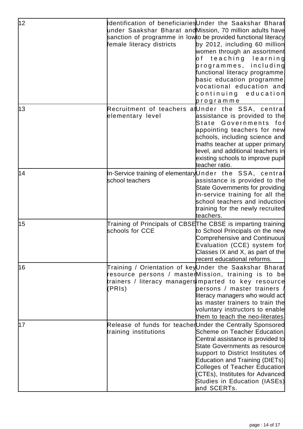| 12 | Identification of beneficiariesUnder the Saakshar Bharat<br>under Saakshar Bharat andMission, 70 million adults have<br>sanction of programme in lowto be provided functional literacy<br>female literacy districts<br>by 2012, including 60 million<br>women through an assortment<br>þf teaching learning<br>programmes, including<br>functional literacy programme.<br>basic education programme.<br>vocational education and<br>continuing education<br>programme |
|----|-----------------------------------------------------------------------------------------------------------------------------------------------------------------------------------------------------------------------------------------------------------------------------------------------------------------------------------------------------------------------------------------------------------------------------------------------------------------------|
| 13 | Recruitment of teachers at Under the SSA, central<br>assistance is provided to the<br>elementary level<br>State Governments for<br>appointing teachers for new<br>schools, including science and<br>maths teacher at upper primary<br>level, and additional teachers in<br>existing schools to improve pupil<br>teacher ratio.                                                                                                                                        |
| 14 | In-Service training of elementaryUnder the SSA, central<br>school teachers<br>assistance is provided to the<br>State Governments for providing<br>in-service training for all the<br>school teachers and induction<br>training for the newly recruited<br>teachers.                                                                                                                                                                                                   |
| 15 | Training of Principals of CBSEThe CBSE is imparting training<br>schools for CCE<br>to School Principals on the new<br>Comprehensive and Continuous<br>Evaluation (CCE) system for<br>Classes IX and X, as part of the<br>recent educational reforms.                                                                                                                                                                                                                  |
| 16 | Training / Orientation of keyUnder the Saakshar Bharat<br>resource persons / masterMission, training is to be<br>trainers / literacy managersimparted to key resource<br>(PRIs)<br>bersons / master trainers ,<br>literacy managers who would act<br>as master trainers to train the<br>voluntary instructors to enable<br>them to teach the neo-literates.                                                                                                           |
| 17 | Release of funds for teacherUnder the Centrally Sponsored<br>training institutions<br>Scheme on Teacher Education.<br>Central assistance is provided to<br>State Governments as resource<br>support to District Institutes of<br>Education and Training (DIETs)<br>Colleges of Teacher Education<br>(CTEs), Institutes for Advanced<br>Studies in Education (IASEs)<br>and SCERTs.                                                                                    |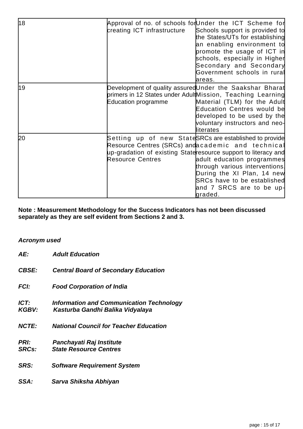| 18 | creating ICT infrastructure | Approval of no. of schools forUnder the ICT Scheme for<br>Schools support is provided to<br>the States/UTs for establishing<br>an enabling environment to<br>promote the usage of ICT in                                                                                                                                                          |
|----|-----------------------------|---------------------------------------------------------------------------------------------------------------------------------------------------------------------------------------------------------------------------------------------------------------------------------------------------------------------------------------------------|
|    |                             | schools, especially in Higher<br>Secondary and Secondary<br>Government schools in rural<br>lareas.                                                                                                                                                                                                                                                |
| 19 | Education programme         | Development of quality assuredUnder the Saakshar Bharat<br>primers in 12 States under AdultMission, Teaching Learning<br>Material (TLM) for the Adult<br><b>Education Centres would be</b><br>developed to be used by the<br>  voluntary instructors and neo-<br>literates                                                                        |
| 20 | <b>Resource Centres</b>     | Setting up of new StateSRCs are established to provide<br>Resource Centres (SRCs) and academic and technical<br>up-gradation of existing Stateresource support to literacy and<br>adult education programmes<br>through various interventions<br>During the XI Plan, 14 new<br>SRCs have to be established<br>and 7 SRCS are to be up-<br>graded. |

**Note : Measurement Methodology for the Success Indicators has not been discussed separately as they are self evident from Sections 2 and 3.**

#### **Acronym used**

| AE:                         | <b>Adult Education</b>                                                              |
|-----------------------------|-------------------------------------------------------------------------------------|
| <b>CBSE:</b>                | <b>Central Board of Secondary Education</b>                                         |
| <b>FCI:</b>                 | <b>Food Corporation of India</b>                                                    |
| ICT:<br><b>KGBV:</b>        | <b>Information and Communication Technology</b><br>Kasturba Gandhi Balika Vidyalaya |
| <b>NCTE:</b>                | <b>National Council for Teacher Education</b>                                       |
| <b>PRI:</b><br><b>SRCs:</b> | Panchayati Raj Institute<br><b>State Resource Centres</b>                           |
| <b>SRS:</b>                 | <b>Software Requirement System</b>                                                  |
| SSA:                        | Sarva Shiksha Abhiyan                                                               |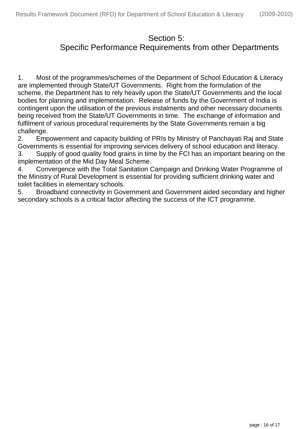#### Section 5:

### Specific Performance Requirements from other Departments

1. Most of the programmes/schemes of the Department of School Education & Literacy are implemented through State/UT Governments. Right from the formulation of the scheme, the Department has to rely heavily upon the State/UT Governments and the local bodies for planning and implementation. Release of funds by the Government of India is contingent upon the utilisation of the previous instalments and other necessary documents being received from the State/UT Governments in time. The exchange of information and fulfilment of various procedural requirements by the State Governments remain a big challenge.

2. Empowerment and capacity building of PRIs by Ministry of Panchayati Raj and State Governments is essential for improving services delivery of school education and literacy. 3. Supply of good quality food grains in time by the FCI has an important bearing on the implementation of the Mid Day Meal Scheme.

4. Convergence with the Total Sanitation Campaign and Drinking Water Programme of the Ministry of Rural Development is essential for providing sufficient drinking water and toilet facilities in elementary schools.

5. Broadband connectivity in Government and Government aided secondary and higher secondary schools is a critical factor affecting the success of the ICT programme.